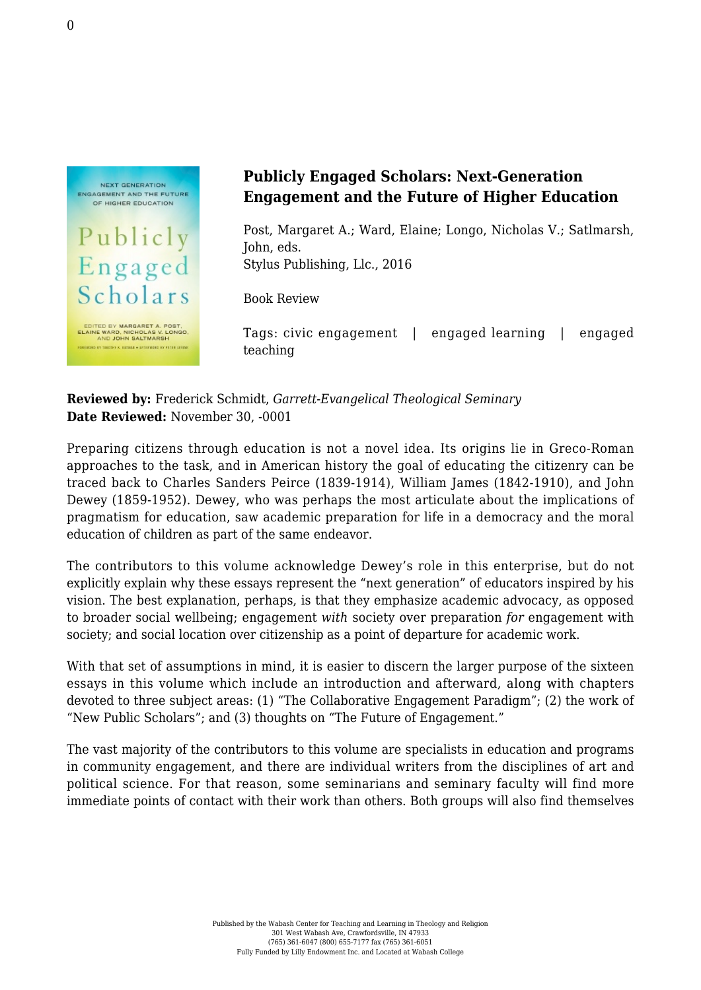

## **Publicly Engaged Scholars: Next-Generation Engagement and the Future of Higher Education**

Post, Margaret A.; Ward, Elaine; Longo, Nicholas V.; Satlmarsh, John, eds. [Stylus Publishing, Llc., 2016](https://sty.presswarehouse.com/Books/BookDetail.aspx?productID=412474)

Book Review

Tags: civic engagement | engaged learning | engaged teaching

**Reviewed by:** Frederick Schmidt, *Garrett-Evangelical Theological Seminary* **Date Reviewed:** November 30, -0001

Preparing citizens through education is not a novel idea. Its origins lie in Greco-Roman approaches to the task, and in American history the goal of educating the citizenry can be traced back to Charles Sanders Peirce (1839-1914), William James (1842-1910), and John Dewey (1859-1952). Dewey, who was perhaps the most articulate about the implications of pragmatism for education, saw academic preparation for life in a democracy and the moral education of children as part of the same endeavor.

The contributors to this volume acknowledge Dewey's role in this enterprise, but do not explicitly explain why these essays represent the "next generation" of educators inspired by his vision. The best explanation, perhaps, is that they emphasize academic advocacy, as opposed to broader social wellbeing; engagement *with* society over preparation *for* engagement with society; and social location over citizenship as a point of departure for academic work.

With that set of assumptions in mind, it is easier to discern the larger purpose of the sixteen essays in this volume which include an introduction and afterward, along with chapters devoted to three subject areas: (1) "The Collaborative Engagement Paradigm"; (2) the work of "New Public Scholars"; and (3) thoughts on "The Future of Engagement."

The vast majority of the contributors to this volume are specialists in education and programs in community engagement, and there are individual writers from the disciplines of art and political science. For that reason, some seminarians and seminary faculty will find more immediate points of contact with their work than others. Both groups will also find themselves